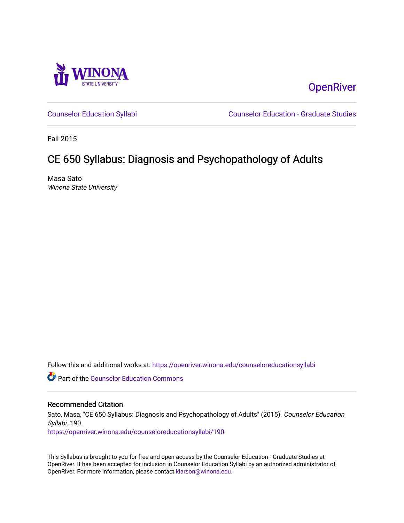

**OpenRiver** 

[Counselor Education Syllabi](https://openriver.winona.edu/counseloreducationsyllabi) [Counselor Education - Graduate Studies](https://openriver.winona.edu/counseloreducation) 

Fall 2015

# CE 650 Syllabus: Diagnosis and Psychopathology of Adults

Masa Sato Winona State University

Follow this and additional works at: [https://openriver.winona.edu/counseloreducationsyllabi](https://openriver.winona.edu/counseloreducationsyllabi?utm_source=openriver.winona.edu%2Fcounseloreducationsyllabi%2F190&utm_medium=PDF&utm_campaign=PDFCoverPages)

Part of the [Counselor Education Commons](http://network.bepress.com/hgg/discipline/1278?utm_source=openriver.winona.edu%2Fcounseloreducationsyllabi%2F190&utm_medium=PDF&utm_campaign=PDFCoverPages) 

#### Recommended Citation

Sato, Masa, "CE 650 Syllabus: Diagnosis and Psychopathology of Adults" (2015). Counselor Education Syllabi. 190.

[https://openriver.winona.edu/counseloreducationsyllabi/190](https://openriver.winona.edu/counseloreducationsyllabi/190?utm_source=openriver.winona.edu%2Fcounseloreducationsyllabi%2F190&utm_medium=PDF&utm_campaign=PDFCoverPages)

This Syllabus is brought to you for free and open access by the Counselor Education - Graduate Studies at OpenRiver. It has been accepted for inclusion in Counselor Education Syllabi by an authorized administrator of OpenRiver. For more information, please contact [klarson@winona.edu](mailto:klarson@winona.edu).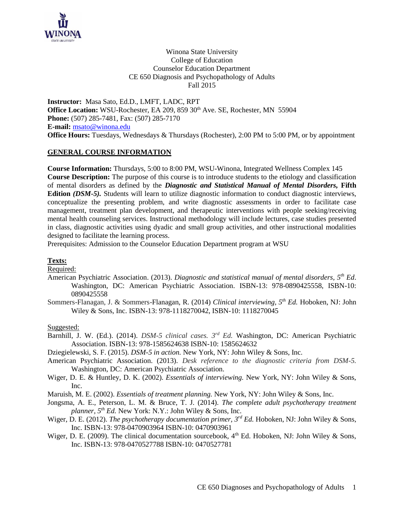

Winona State University College of Education Counselor Education Department CE 650 Diagnosis and Psychopathology of Adults Fall 2015

**Instructor:** Masa Sato, Ed.D., LMFT, LADC, RPT **Office Location:** WSU-Rochester, EA 209, 859 30<sup>th</sup> Ave. SE, Rochester, MN 55904 **Phone:** (507) 285-7481, Fax: (507) 285-7170 **E-mail:** [msato@winona.edu](mailto:msato@winona.edu) **Office Hours:** Tuesdays, Wednesdays & Thursdays (Rochester), 2:00 PM to 5:00 PM, or by appointment

## **GENERAL COURSE INFORMATION**

**Course Information:** Thursdays, 5:00 to 8:00 PM, WSU-Winona, Integrated Wellness Complex 145 **Course Description:** The purpose of this course is to introduce students to the etiology and classification of mental disorders as defined by the *Diagnostic and Statistical Manual of Mental Disorders,* **Fifth Edition** *(DSM-5).* Students will learn to utilize diagnostic information to conduct diagnostic interviews, conceptualize the presenting problem, and write diagnostic assessments in order to facilitate case management, treatment plan development, and therapeutic interventions with people seeking/receiving mental health counseling services. Instructional methodology will include lectures, case studies presented in class, diagnostic activities using dyadic and small group activities, and other instructional modalities designed to facilitate the learning process.

Prerequisites: Admission to the Counselor Education Department program at WSU

#### **Texts:**

Required:

- American Psychiatric Association. (2013). *Diagnostic and statistical manual of mental disorders, 5 th Ed*. Washington, DC: American Psychiatric Association. ISBN-13: 978-0890425558, ISBN-10: 0890425558
- Sommers-Flanagan, J. & Sommers-Flanagan, R. (2014) *Clinical interviewing, 5th Ed.* Hoboken, NJ: John Wiley & Sons, Inc. ISBN-13: 978-1118270042, ISBN-10: 1118270045

#### Suggested:

Barnhill, J. W. (Ed.). (2014). *DSM-5 clinical cases. 3rd Ed.* Washington, DC: American Psychiatric Association. ISBN-13: 978-1585624638 ISBN-10: 1585624632

Dziegielewski, S. F. (2015). *DSM-5 in action.* New York, NY: John Wiley & Sons, Inc.

- American Psychiatric Association. (2013). *Desk reference to the diagnostic criteria from DSM-5.* Washington, DC: American Psychiatric Association.
- Wiger, D. E. & Huntley, D. K. (2002). *Essentials of interviewing.* New York, NY: John Wiley & Sons, Inc.
- Maruish, M. E. (2002). *Essentials of treatment planning.* New York, NY: John Wiley & Sons, Inc.
- Jongsma, A. E., Peterson, L. M. & Bruce, T. J. (2014). *The complete adult psychotherapy treatment planner, 5th Ed.* New York: N.Y.: John Wiley & Sons, Inc.
- Wiger, D. E. (2012). *The psychotherapy documentation primer, 3rd Ed.* Hoboken, NJ: John Wiley & Sons, Inc. ISBN-13: 978-0470903964 ISBN-10: 0470903961
- Wiger, D. E. (2009). The clinical documentation sourcebook,  $4<sup>th</sup>$  Ed. Hoboken, NJ: John Wiley & Sons, Inc. ISBN-13: 978-0470527788 ISBN-10: 0470527781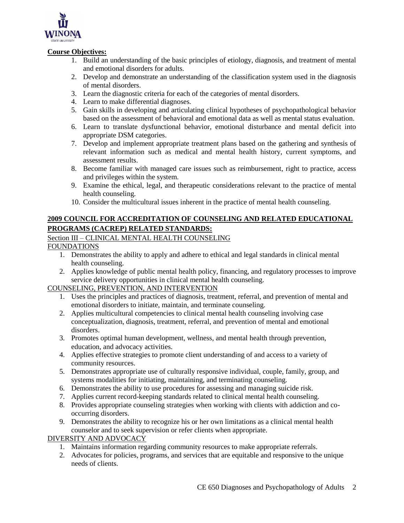

## **Course Objectives:**

- 1. Build an understanding of the basic principles of etiology, diagnosis, and treatment of mental and emotional disorders for adults.
- 2. Develop and demonstrate an understanding of the classification system used in the diagnosis of mental disorders.
- 3. Learn the diagnostic criteria for each of the categories of mental disorders.
- 4. Learn to make differential diagnoses.
- 5. Gain skills in developing and articulating clinical hypotheses of psychopathological behavior based on the assessment of behavioral and emotional data as well as mental status evaluation.
- 6. Learn to translate dysfunctional behavior, emotional disturbance and mental deficit into appropriate DSM categories.
- 7. Develop and implement appropriate treatment plans based on the gathering and synthesis of relevant information such as medical and mental health history, current symptoms, and assessment results.
- 8. Become familiar with managed care issues such as reimbursement, right to practice, access and privileges within the system.
- 9. Examine the ethical, legal, and therapeutic considerations relevant to the practice of mental health counseling.
- 10. Consider the multicultural issues inherent in the practice of mental health counseling.

# **2009 COUNCIL FOR ACCREDITATION OF COUNSELING AND RELATED EDUCATIONAL PROGRAMS (CACREP) RELATED STANDARDS:**

# Section III – CLINICAL MENTAL HEALTH COUNSELING

FOUNDATIONS

- 1. Demonstrates the ability to apply and adhere to ethical and legal standards in clinical mental health counseling.
- 2. Applies knowledge of public mental health policy, financing, and regulatory processes to improve service delivery opportunities in clinical mental health counseling.

# COUNSELING, PREVENTION, AND INTERVENTION

- 1. Uses the principles and practices of diagnosis, treatment, referral, and prevention of mental and emotional disorders to initiate, maintain, and terminate counseling.
- 2. Applies multicultural competencies to clinical mental health counseling involving case conceptualization, diagnosis, treatment, referral, and prevention of mental and emotional disorders.
- 3. Promotes optimal human development, wellness, and mental health through prevention, education, and advocacy activities.
- 4. Applies effective strategies to promote client understanding of and access to a variety of community resources.
- 5. Demonstrates appropriate use of culturally responsive individual, couple, family, group, and systems modalities for initiating, maintaining, and terminating counseling.
- 6. Demonstrates the ability to use procedures for assessing and managing suicide risk.
- 7. Applies current record-keeping standards related to clinical mental health counseling.
- 8. Provides appropriate counseling strategies when working with clients with addiction and cooccurring disorders.
- 9. Demonstrates the ability to recognize his or her own limitations as a clinical mental health counselor and to seek supervision or refer clients when appropriate.

# DIVERSITY AND ADVOCACY

- 1. Maintains information regarding community resources to make appropriate referrals.
- 2. Advocates for policies, programs, and services that are equitable and responsive to the unique needs of clients.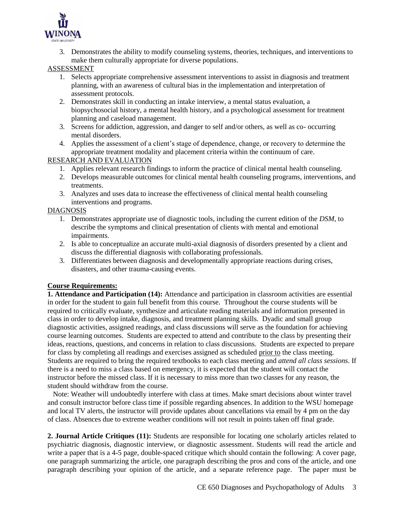

3. Demonstrates the ability to modify counseling systems, theories, techniques, and interventions to make them culturally appropriate for diverse populations.

## ASSESSMENT

- 1. Selects appropriate comprehensive assessment interventions to assist in diagnosis and treatment planning, with an awareness of cultural bias in the implementation and interpretation of assessment protocols.
- 2. Demonstrates skill in conducting an intake interview, a mental status evaluation, a biopsychosocial history, a mental health history, and a psychological assessment for treatment planning and caseload management.
- 3. Screens for addiction, aggression, and danger to self and/or others, as well as co- occurring mental disorders.
- 4. Applies the assessment of a client's stage of dependence, change, or recovery to determine the appropriate treatment modality and placement criteria within the continuum of care.

## RESEARCH AND EVALUATION

- 1. Applies relevant research findings to inform the practice of clinical mental health counseling.
- 2. Develops measurable outcomes for clinical mental health counseling programs, interventions, and treatments.
- 3. Analyzes and uses data to increase the effectiveness of clinical mental health counseling interventions and programs.

## DIAGNOSIS

- 1. Demonstrates appropriate use of diagnostic tools, including the current edition of the *DSM*, to describe the symptoms and clinical presentation of clients with mental and emotional impairments.
- 2. Is able to conceptualize an accurate multi-axial diagnosis of disorders presented by a client and discuss the differential diagnosis with collaborating professionals.
- 3. Differentiates between diagnosis and developmentally appropriate reactions during crises, disasters, and other trauma-causing events.

# **Course Requirements:**

**1. Attendance and Participation (14):** Attendance and participation in classroom activities are essential in order for the student to gain full benefit from this course. Throughout the course students will be required to critically evaluate, synthesize and articulate reading materials and information presented in class in order to develop intake, diagnosis, and treatment planning skills. Dyadic and small group diagnostic activities, assigned readings, and class discussions will serve as the foundation for achieving course learning outcomes. Students are expected to attend and contribute to the class by presenting their ideas, reactions, questions, and concerns in relation to class discussions. Students are expected to prepare for class by completing all readings and exercises assigned as scheduled prior to the class meeting. Students are required to bring the required textbooks to each class meeting and *attend all class sessions*. If there is a need to miss a class based on emergency, it is expected that the student will contact the instructor before the missed class. If it is necessary to miss more than two classes for any reason, the student should withdraw from the course.

 Note: Weather will undoubtedly interfere with class at times. Make smart decisions about winter travel and consult instructor before class time if possible regarding absences. In addition to the WSU homepage and local TV alerts, the instructor will provide updates about cancellations via email by 4 pm on the day of class. Absences due to extreme weather conditions will not result in points taken off final grade.

**2. Journal Article Critiques (11):** Students are responsible for locating one scholarly articles related to psychiatric diagnosis, diagnostic interview, or diagnostic assessment. Students will read the article and write a paper that is a 4-5 page, double-spaced critique which should contain the following: A cover page, one paragraph summarizing the article, one paragraph describing the pros and cons of the article, and one paragraph describing your opinion of the article, and a separate reference page. The paper must be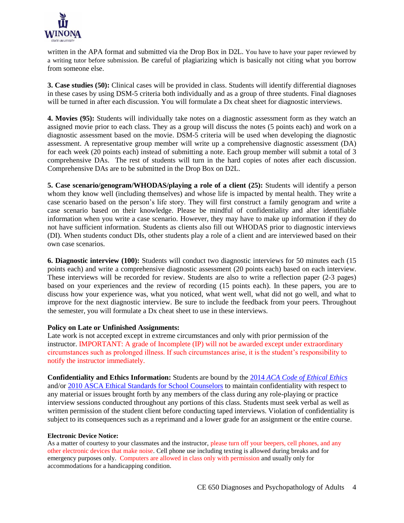

written in the APA format and submitted via the Drop Box in D2L. You have to have your paper reviewed by a writing tutor before submission. Be careful of plagiarizing which is basically not citing what you borrow from someone else.

**3. Case studies (50):** Clinical cases will be provided in class. Students will identify differential diagnoses in these cases by using DSM-5 criteria both individually and as a group of three students. Final diagnoses will be turned in after each discussion. You will formulate a Dx cheat sheet for diagnostic interviews.

**4. Movies (95):** Students will individually take notes on a diagnostic assessment form as they watch an assigned movie prior to each class. They as a group will discuss the notes (5 points each) and work on a diagnostic assessment based on the movie. DSM-5 criteria will be used when developing the diagnostic assessment. A representative group member will write up a comprehensive diagnostic assessment (DA) for each week (20 points each) instead of submitting a note. Each group member will submit a total of 3 comprehensive DAs. The rest of students will turn in the hard copies of notes after each discussion. Comprehensive DAs are to be submitted in the Drop Box on D2L.

**5. Case scenario/genogram/WHODAS/playing a role of a client (25):** Students will identify a person whom they know well (including themselves) and whose life is impacted by mental health. They write a case scenario based on the person's life story. They will first construct a family genogram and write a case scenario based on their knowledge. Please be mindful of confidentiality and alter identifiable information when you write a case scenario. However, they may have to make up information if they do not have sufficient information. Students as clients also fill out WHODAS prior to diagnostic interviews (DI). When students conduct DIs, other students play a role of a client and are interviewed based on their own case scenarios.

**6. Diagnostic interview (100):** Students will conduct two diagnostic interviews for 50 minutes each (15 points each) and write a comprehensive diagnostic assessment (20 points each) based on each interview. These interviews will be recorded for review. Students are also to write a reflection paper (2-3 pages) based on your experiences and the review of recording (15 points each). In these papers, you are to discuss how your experience was, what you noticed, what went well, what did not go well, and what to improve for the next diagnostic interview. Be sure to include the feedback from your peers. Throughout the semester, you will formulate a Dx cheat sheet to use in these interviews.

#### **Policy on Late or Unfinished Assignments:**

Late work is not accepted except in extreme circumstances and only with prior permission of the instructor. IMPORTANT: A grade of Incomplete (IP) will not be awarded except under extraordinary circumstances such as prolonged illness. If such circumstances arise, it is the student's responsibility to notify the instructor immediately.

**Confidentiality and Ethics Information:** Students are bound by the 2014 *[ACA Code of Ethical Ethics](http://www.counseling.org/Resources/aca-code-of-ethics.pdf)* and/or [2010 ASCA Ethical Standards for School Counselors](http://www.schoolcounselor.org/asca/media/asca/Resource%20Center/Legal%20and%20Ethical%20Issues/Sample%20Documents/EthicalStandards2010.pdf) to maintain confidentiality with respect to any material or issues brought forth by any members of the class during any role-playing or practice interview sessions conducted throughout any portions of this class. Students must seek verbal as well as written permission of the student client before conducting taped interviews. Violation of confidentiality is subject to its consequences such as a reprimand and a lower grade for an assignment or the entire course.

#### **Electronic Device Notice:**

As a matter of courtesy to your classmates and the instructor, please turn off your beepers, cell phones, and any other electronic devices that make noise. Cell phone use including texting is allowed during breaks and for emergency purposes only. Computers are allowed in class only with permission and usually only for accommodations for a handicapping condition.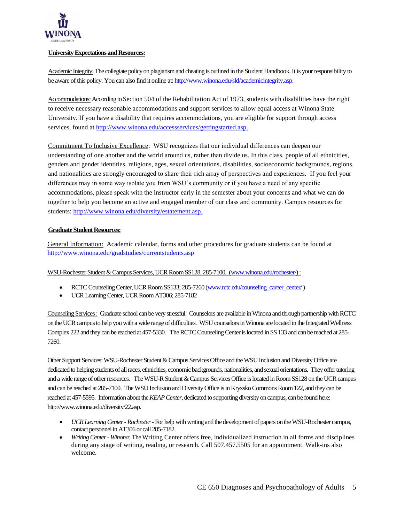

#### **University Expectations and Resources:**

Academic Integrity:The collegiate policy on plagiarism and cheating is outlined in the Student Handbook. It is your responsibility to be aware of this policy. You can also find it online at[: http://www.winona.edu/sld/academicintegrity.asp.](http://www.winona.edu/sld/academicintegrity.asp)

Accommodations: According to Section 504 of the Rehabilitation Act of 1973, students with disabilities have the right to receive necessary reasonable accommodations and support services to allow equal access at Winona State University. If you have a disability that requires accommodations, you are eligible for support through access services, found a[t http://www.winona.edu/accessservices/gettingstarted.asp.](http://www.winona.edu/accessservices/gettingstarted.asp)

Commitment To Inclusive Excellence: WSU recognizes that our individual differences can deepen our understanding of one another and the world around us, rather than divide us. In this class, people of all ethnicities, genders and gender identities, religions, ages, sexual orientations, disabilities, socioeconomic backgrounds, regions, and nationalities are strongly encouraged to share their rich array of perspectives and experiences. If you feel your differences may in some way isolate you from WSU's community or if you have a need of any specific accommodations, please speak with the instructor early in the semester about your concerns and what we can do together to help you become an active and engaged member of our class and community. Campus resources for students: [http://www.winona.edu/diversity/estatement.asp.](http://www.winona.edu/diversity/estatement.asp)

#### **Graduate Student Resources:**

General Information: Academic calendar, forms and other procedures for graduate students can be found at <http://www.winona.edu/gradstudies/currentstudents.asp>

WSU-Rochester Student & Campus Services, UCR Room SS128, 285-7100, [\(www.winona.edu/rochester/\)](http://www.winona.edu/rochester/) :

- RCTC Counseling Center, UCR Room SS133; 285-7260 [\(www.rctc.edu/counseling\\_career\\_center/\)](http://www.rctc.edu/counseling_career_center/)
- UCR Learning Center, UCR Room AT306; 285-7182

Counseling Services : Graduate school can be very stressful. Counselors are available in Winona and through partnership with RCTC on the UCR campus to help you with a wide range of difficulties. WSU counselors in Winona are located in the Integrated Wellness Complex 222 and they can be reached at 457-5330. The RCTC Counseling Center is located in SS 133 and can be reached at 285- 7260.

Other Support Services: WSU-Rochester Student & Campus Services Office and the WSU Inclusion and Diversity Office are dedicated to helping students of all races, ethnicities, economic backgrounds, nationalities, and sexual orientations. They offer tutoring and a wide range of other resources. The WSU-R Student & Campus Services Office is located in Room SS128 on the UCR campus and can be reached at 285-7100. The WSU Inclusion and Diversity Office is in Kryzsko Commons Room 122, and they can be reached at 457-5595. Information about the *KEAP Center*, dedicated to supporting diversity on campus, can be found here: http://www.winona.edu/diversity/22.asp.

- *UCR Learning Center -Rochester*-For help with writing and the development of papers on the WSU-Rochester campus, contact personnel in AT306 or call 285-7182.
- *Writing Center - Winona:*The Writing Center offers free, individualized instruction in all forms and disciplines during any stage of writing, reading, or research. Call 507.457.5505 for an appointment. Walk-ins also welcome.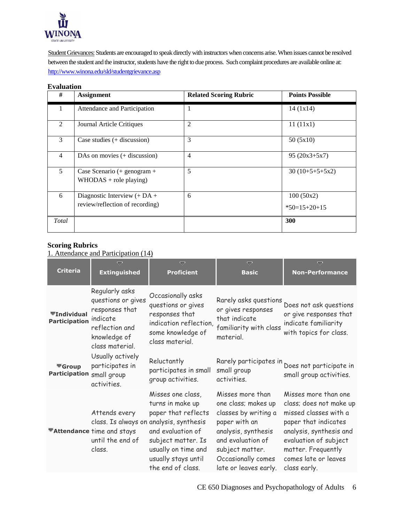

Student Grievances: Students are encouraged to speak directly with instructors when concerns arise. When issues cannot be resolved between the student and the instructor, students have the right to due process. Such complaint procedures are available online at: <http://www.winona.edu/sld/studentgrievance.asp>

#### **Evaluation**

| #              | <b>Assignment</b>                                                 | <b>Related Scoring Rubric</b> | <b>Points Possible</b>      |
|----------------|-------------------------------------------------------------------|-------------------------------|-----------------------------|
| 1              | Attendance and Participation                                      | 1                             | 14(1x14)                    |
| $\overline{2}$ | <b>Journal Article Critiques</b>                                  | $\overline{2}$                | 11(11x1)                    |
| 3              | Case studies $(+$ discussion)                                     | 3                             | 50(5x10)                    |
| $\overline{4}$ | DAs on movies $(+$ discussion)                                    | $\overline{4}$                | $95(20x3+5x7)$              |
| 5              | Case Scenario (+ genogram +<br>$WHODAS + role playing)$           | 5                             | $30(10+5+5+5x2)$            |
| 6              | Diagnostic Interview $(+ DA +$<br>review/reflection of recording) | 6                             | 100(50x2)<br>$*50=15+20+15$ |
| Total          |                                                                   |                               | 300                         |

## **Scoring Rubrics**

1. Attendance and Participation (14)

|                                                       | $\overline{\nabla}$                                                                                                     | $\overline{\nabla}$                                                                                                                                                                               | $\overline{\nabla}$                                                                                                                                                                            | ᇦ                                                                                                                                                                                                                  |
|-------------------------------------------------------|-------------------------------------------------------------------------------------------------------------------------|---------------------------------------------------------------------------------------------------------------------------------------------------------------------------------------------------|------------------------------------------------------------------------------------------------------------------------------------------------------------------------------------------------|--------------------------------------------------------------------------------------------------------------------------------------------------------------------------------------------------------------------|
| <b>Criteria</b>                                       | <b>Extinguished</b>                                                                                                     | <b>Proficient</b>                                                                                                                                                                                 | <b>Basic</b>                                                                                                                                                                                   | <b>Non-Performance</b>                                                                                                                                                                                             |
| $\P$ Individual<br><b>Participation</b>               | Regularly asks<br>questions or gives<br>responses that<br>indicate<br>reflection and<br>knowledge of<br>class material. | Occasionally asks<br>questions or gives<br>responses that<br>indication reflection,<br>some knowledge of<br>class material.                                                                       | Rarely asks questions<br>or gives responses<br>that indicate<br>familiarity with class<br>material.                                                                                            | Does not ask questions<br>or give responses that<br>indicate familiarity<br>with topics for class.                                                                                                                 |
| $\overline{\mathbf{G}}$ Group<br><b>Participation</b> | Usually actively<br>participates in<br>small group<br>activities.                                                       | Reluctantly<br>participates in small<br>group activities.                                                                                                                                         | Rarely participates in<br>small group<br>activities.                                                                                                                                           | Does not participate in<br>small group activities.                                                                                                                                                                 |
|                                                       | Attends every<br>class. Is always on<br><b>■Attendance time and stays</b><br>until the end of<br>class.                 | Misses one class,<br>turns in make up<br>paper that reflects<br>analysis, synthesis<br>and evaluation of<br>subject matter. Is<br>usually on time and<br>usually stays until<br>the end of class. | Misses more than<br>one class; makes up<br>classes by writing a<br>paper with an<br>analysis, synthesis<br>and evaluation of<br>subject matter.<br>Occasionally comes<br>late or leaves early. | Misses more than one<br>class; does not make up<br>missed classes with a<br>paper that indicates<br>analysis, synthesis and<br>evaluation of subject<br>matter. Frequently<br>comes late or leaves<br>class early. |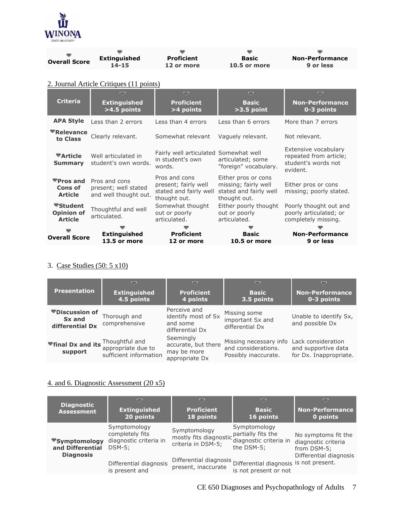

| <b>Overall Score</b> | <b>Extinguished</b> | <b>Proficient</b> | <b>Basic</b> | <b>Non-Performance</b> |
|----------------------|---------------------|-------------------|--------------|------------------------|
|                      | $14 - 15$           | 12 or more        | 10.5 or more | 9 or less              |
|                      |                     |                   |              |                        |

# 2. Journal Article Critiques (11 points)

| <b>Criteria</b>                                                     | ᇦ<br><b>Extinguished</b><br>$>4.5$ points                      | ▽<br><b>Proficient</b><br>>4 points                                             | ᇦ<br><b>Basic</b><br>$>3.5$ point                                                     | ▽<br><b>Non-Performance</b><br>0-3 points                                         |
|---------------------------------------------------------------------|----------------------------------------------------------------|---------------------------------------------------------------------------------|---------------------------------------------------------------------------------------|-----------------------------------------------------------------------------------|
| <b>APA Style</b>                                                    | Less than 2 errors                                             | Less than 4 errors                                                              | Less than 6 errors                                                                    | More than 7 errors                                                                |
| $\nabla$ Relevance<br>to Class                                      | Clearly relevant.                                              | Somewhat relevant                                                               | Vaguely relevant.                                                                     | Not relevant.                                                                     |
| $\blacktriangledown$ Article<br><b>Summary</b>                      | Well articulated in<br>student's own words.                    | Fairly well articulated Somewhat well<br>in student's own<br>words.             | articulated; some<br>"foreign" vocabulary.                                            | Extensive vocabulary<br>repeated from article;<br>student's words not<br>evident. |
| $\nabla$ Pros and<br>Cons of<br><b>Article</b>                      | Pros and cons<br>present; well stated<br>and well thought out. | Pros and cons<br>present; fairly well<br>stated and fairly well<br>thought out. | Either pros or cons<br>missing; fairly well<br>stated and fairly well<br>thought out. | Either pros or cons<br>missing; poorly stated.                                    |
| $\blacktriangledown$ Student<br><b>Opinion of</b><br><b>Article</b> | Thoughtful and well<br>articulated.                            | Somewhat thought<br>out or poorly<br>articulated.                               | Either poorly thought<br>out or poorly<br>articulated.                                | Poorly thought out and<br>poorly articulated; or<br>completely missing.           |
| <b>Overall Score</b>                                                | <b>Extinguished</b><br>13.5 or more                            | <b>Proficient</b><br>12 or more                                                 | <b>Basic</b><br>10.5 or more                                                          | <b>Non-Performance</b><br>9 or less                                               |

# 3. Case Studies (50: 5 x10)

| <b>Presentation</b>                                | ≂<br><b>Extinguished</b><br>4.5 points                         | ≂<br><b>Proficient</b><br>4 points                                 | ▽<br><b>Basic</b><br>3.5 points                                       | ≂<br><b>Non-Performance</b><br>0-3 points                           |
|----------------------------------------------------|----------------------------------------------------------------|--------------------------------------------------------------------|-----------------------------------------------------------------------|---------------------------------------------------------------------|
| <b>▼Discussion of</b><br>Sx and<br>differential Dx | Thorough and<br>comprehensive                                  | Perceive and<br>identify most of Sx<br>and some<br>differential Dx | Missing some<br>important Sx and<br>differential Dx                   | Unable to identify Sx,<br>and possible Dx                           |
| <sup>₩</sup> final Dx and its<br>support           | Thoughtful and<br>appropriate due to<br>sufficient information | Seemingly<br>accurate, but there<br>may be more<br>appropriate Dx  | Missing necessary info<br>and considerations.<br>Possibly inaccurate. | Lack consideration<br>and supportive data<br>for Dx. Inappropriate. |

# 4. and 6. Diagnostic Assessment (20 x5)

| <b>Diagnostic</b><br><b>Assessment</b>                                    | ▽<br><b>Extinguished</b><br>20 points                                  | ≂<br><b>Proficient</b><br>18 points                                             | ▽<br><b>Basic</b><br>16 points                                  | ≂<br><b>Non-Performance</b><br>0 points                   |
|---------------------------------------------------------------------------|------------------------------------------------------------------------|---------------------------------------------------------------------------------|-----------------------------------------------------------------|-----------------------------------------------------------|
| $\blacktriangledown$ Symptomology<br>and Differential<br><b>Diagnosis</b> | Symptomology<br>completely fits<br>diagnostic criteria in<br>$DSM-5$ : | Symptomology<br>mostly fits diagnostic partially fits the<br>criteria in DSM-5; | Symptomology<br>diagnostic criteria in<br>the DSM-5:            | No symptoms fit the<br>diagnostic criteria<br>from DSM-5; |
|                                                                           | Differential diagnosis<br>is present and                               | Differential diagnosis<br>present, inaccurate                                   | Differential diagnosis is not present.<br>is not present or not | Differential diagnosis                                    |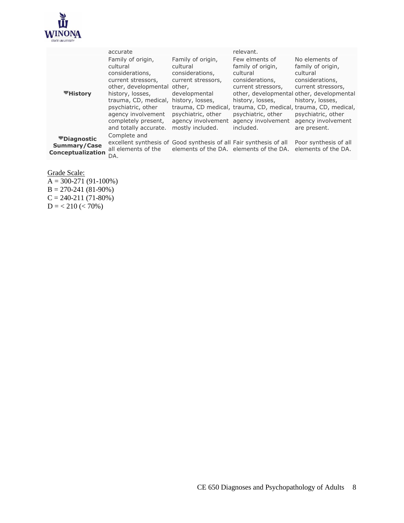

|                                                                | accurate                                                                                                                                                                                                                                                       |                                                                                                                                                         | relevant.                                                                                                                                                             |                                                                                                                                                                                                                                                                                        |
|----------------------------------------------------------------|----------------------------------------------------------------------------------------------------------------------------------------------------------------------------------------------------------------------------------------------------------------|---------------------------------------------------------------------------------------------------------------------------------------------------------|-----------------------------------------------------------------------------------------------------------------------------------------------------------------------|----------------------------------------------------------------------------------------------------------------------------------------------------------------------------------------------------------------------------------------------------------------------------------------|
| ▼History                                                       | Family of origin,<br>cultural<br>considerations,<br>current stressors,<br>other, developmental other,<br>history, losses,<br>trauma, CD, medical, history, losses,<br>psychiatric, other<br>agency involvement<br>completely present,<br>and totally accurate. | Family of origin,<br>cultural<br>considerations.<br>current stressors,<br>developmental<br>psychiatric, other<br>agency involvement<br>mostly included. | Few elments of<br>family of origin,<br>cultural<br>considerations,<br>current stressors,<br>history, losses,<br>psychiatric, other<br>agency involvement<br>included. | No elements of<br>family of origin,<br>cultural<br>considerations,<br>current stressors,<br>other, developmental other, developmental<br>history, losses,<br>trauma, CD medical, trauma, CD, medical, trauma, CD, medical,<br>psychiatric, other<br>agency involvement<br>are present. |
| <b>▼Diagnostic</b><br><b>Summary/Case</b><br>Conceptualization | Complete and<br>excellent synthesis of Good synthesis of all Fair synthesis of all<br>all elements of the                                                                                                                                                      | elements of the DA, elements of the DA.                                                                                                                 |                                                                                                                                                                       | Poor synthesis of all<br>elements of the DA.                                                                                                                                                                                                                                           |
|                                                                | DA.                                                                                                                                                                                                                                                            |                                                                                                                                                         |                                                                                                                                                                       |                                                                                                                                                                                                                                                                                        |

Grade Scale:

 $A = 300-271(91-100%)$  $B = 270-241(81-90%)$  $C = 240 - 211(71 - 80\%)$  $D = 210$  (< 70%)